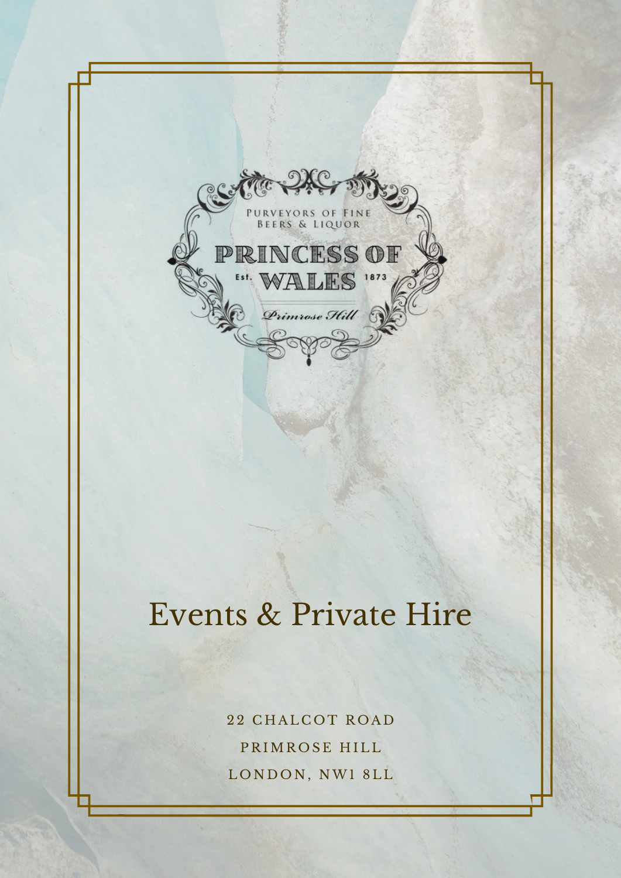

#### Events & Private Hire

22 CHALCOT ROAD PRIMROSE HILL LONDON, NW1 8LL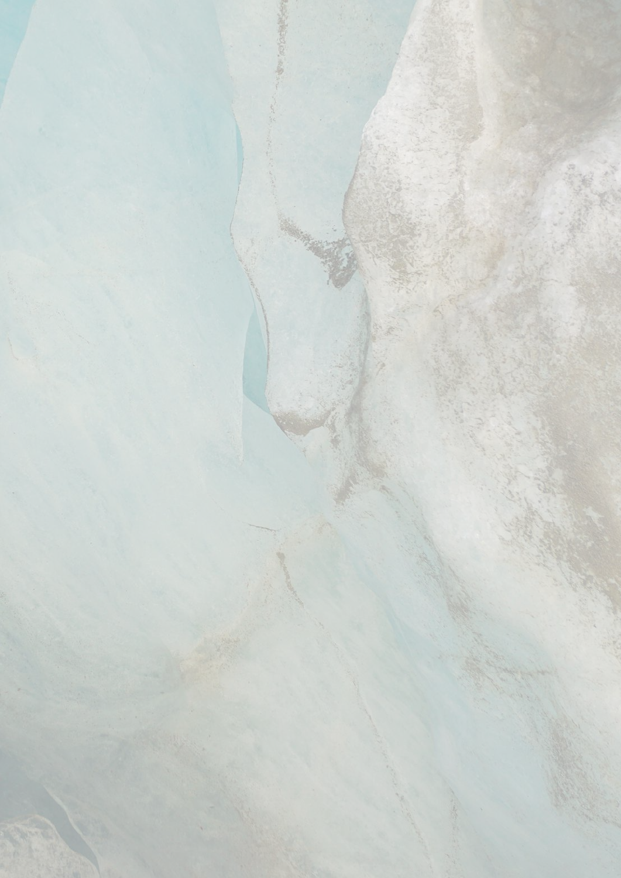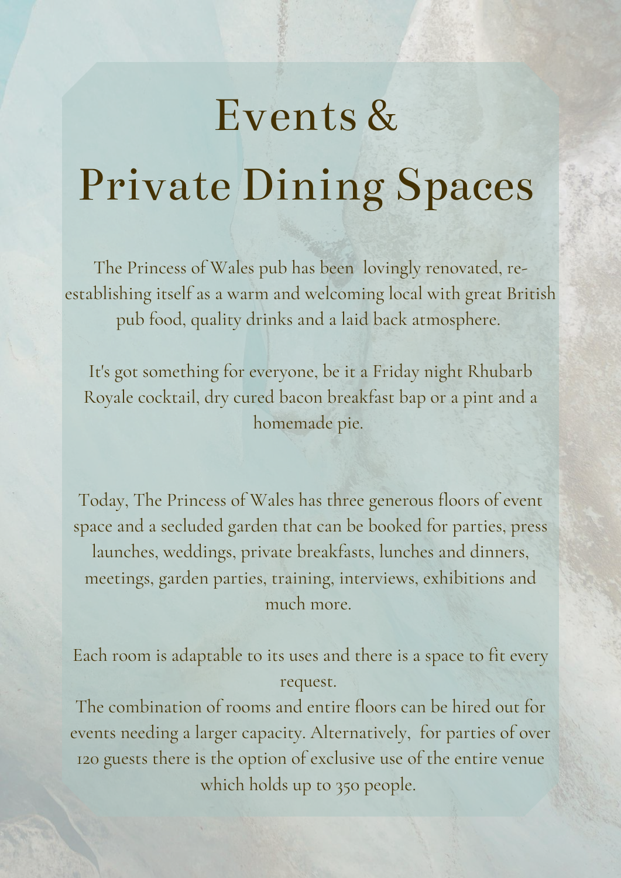# Events & Private Dining Spaces

The Princess of Wales pub has been lovingly renovated, reestablishing itself as a warm and welcoming local with great British pub food, quality drinks and a laid back atmosphere.

It's got something for everyone, be it a Friday night Rhubarb Royale cocktail, dry cured bacon breakfast bap or a pint and a homemade pie.

Today, The Princess of Wales has three generous floors of event space and a secluded garden that can be booked for parties, press launches, weddings, private breakfasts, lunches and dinners, meetings, garden parties, training, interviews, exhibitions and much more.

Each room is adaptable to its uses and there is a space to fit every request.

The combination of rooms and entire floors can be hired out for events needing a larger capacity. Alternatively, for parties of over 120 guests there is the option of exclusive use of the entire venue which holds up to 350 people.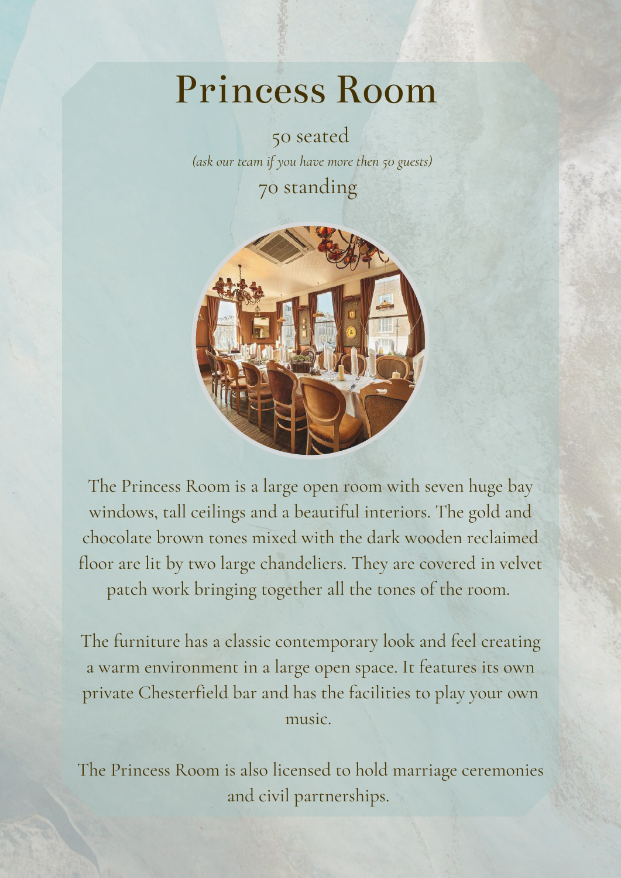## Princess Room

50 seated  *(ask our team if you have more then 50 guests)* 70 standing



The Princess Room is a large open room with seven huge bay windows, tall ceilings and a beautiful interiors. The gold and chocolate brown tones mixed with the dark wooden reclaimed floor are lit by two large chandeliers. They are covered in velvet patch work bringing together all the tones of the room.

The furniture has a classic contemporary look and feel creating a warm environment in a large open space. It features its own private Chesterfield bar and has the facilities to play your own music.

The Princess Room is also licensed to hold marriage ceremonies and civil partnerships.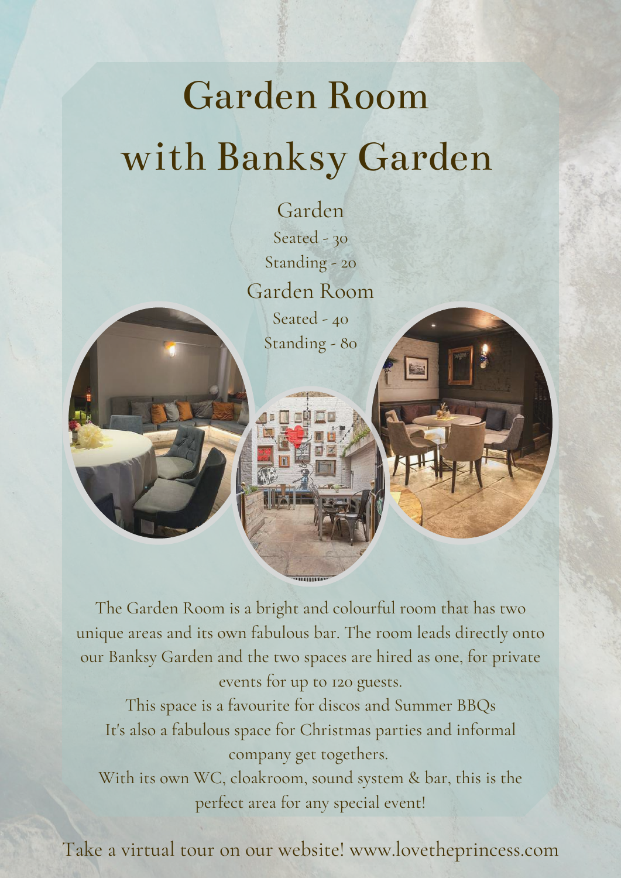# Garden Room with Banksy Garden

Garden Seated - 30 Standing - 20 Garden Room

Seated - 40 Standing - 80

The Garden Room is a bright and colourful room that has two unique areas and its own fabulous bar. The room leads directly onto our Banksy Garden and the two spaces are hired as one, for private events for up to 120 guests.

This space is a favourite for discos and Summer BBQs It's also a fabulous space for Christmas parties and informal company get togethers.

With its own WC, cloakroom, sound system & bar, this is the perfect area for any special event!

Take a virtual tour on our website! www.lovetheprincess.com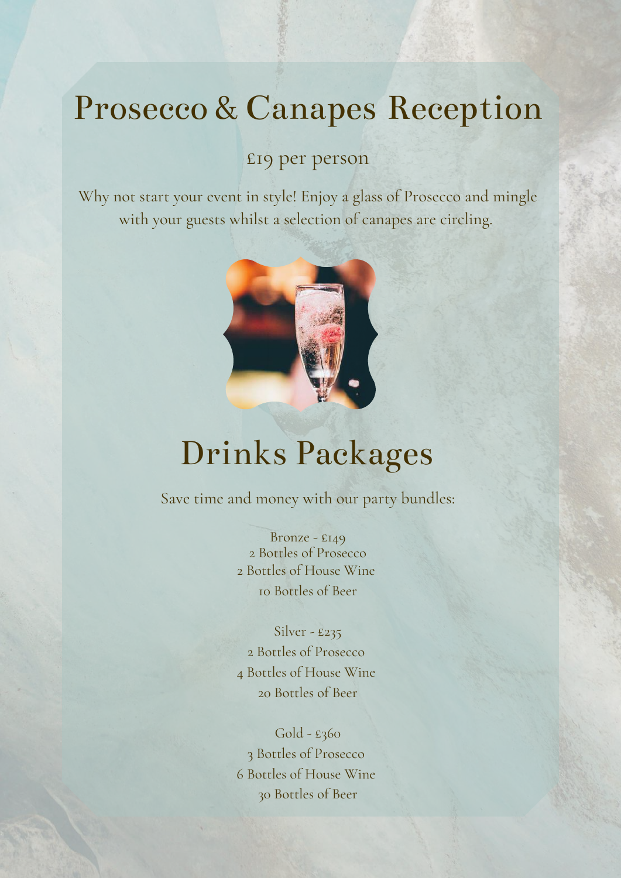### Prosecco & Canapes Reception

#### £19 per person

Why not start your event in style! Enjoy a glass of Prosecco and mingle with your guests whilst a selection of canapes are circling.



#### Drinks Packages

Save time and money with our party bundles:

Bronze - £149 2 Bottles of Prosecco 2 Bottles of House Wine 10 Bottles of Beer

Silver - £235 2 Bottles of Prosecco 4 Bottles of House Wine 20 Bottles of Beer

Gold - £360 3 Bottles of Prosecco 6 Bottles of House Wine 30 Bottles of Beer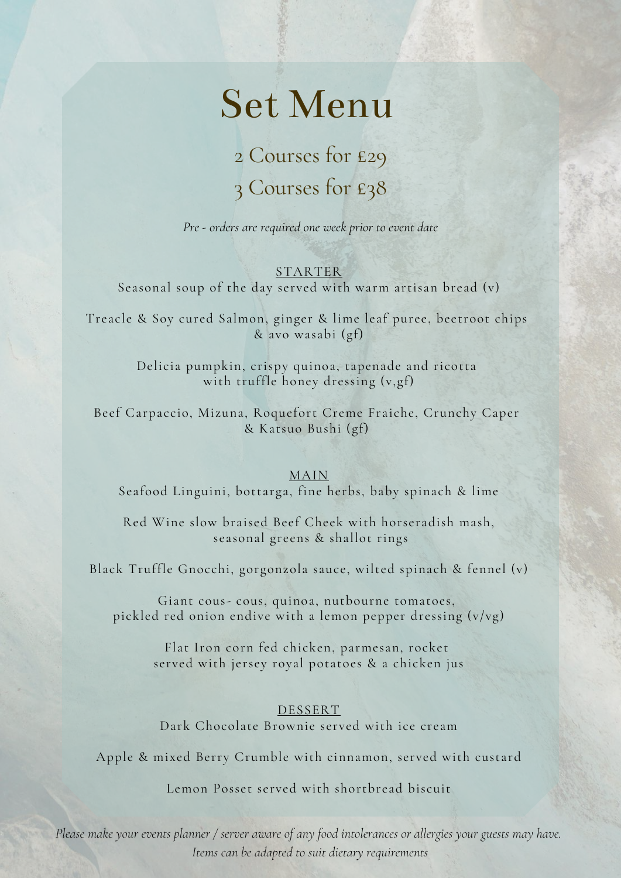## Set Menu

2 Courses for £29 3 Courses for £38

*Pre - orders are required one week prior to event date*

#### STARTER

Seasonal soup of the day served with warm artisan bread (v)

Treacle & Soy cured Salmon, ginger & lime leaf puree, beetroot chips & avo wasabi (gf)

> Delicia pumpkin, crispy quinoa, tapenade and ricotta with truffle honey dressing (v,gf)

Beef Carpaccio, Mizuna, Roquefort Creme Fraiche, Crunchy Caper & Katsuo Bushi (gf)

#### MAIN

Seafood Linguini, bottarga, fine herbs, baby spinach & lime

Red Wine slow braised Beef Cheek with horseradish mash, seasonal greens & shallot rings

Black Truffle Gnocchi, gorgonzola sauce, wilted spinach & fennel (v)

Giant cous- cous, quinoa, nutbourne tomatoes, pickled red onion endive with a lemon pepper dressing  $(v/vg)$ 

> Flat Iron corn fed chicken, parmesan, rocket served with jersey royal potatoes & a chicken jus

> DESSERT Dark Chocolate Brownie served with ice cream

Apple & mixed Berry Crumble with cinnamon, served with custard

Lemon Posset served with shortbread biscuit

Please make your events planner / server aware of any food intolerances or allergies your guests may have. *Items can be adapted to suit dietary requirements*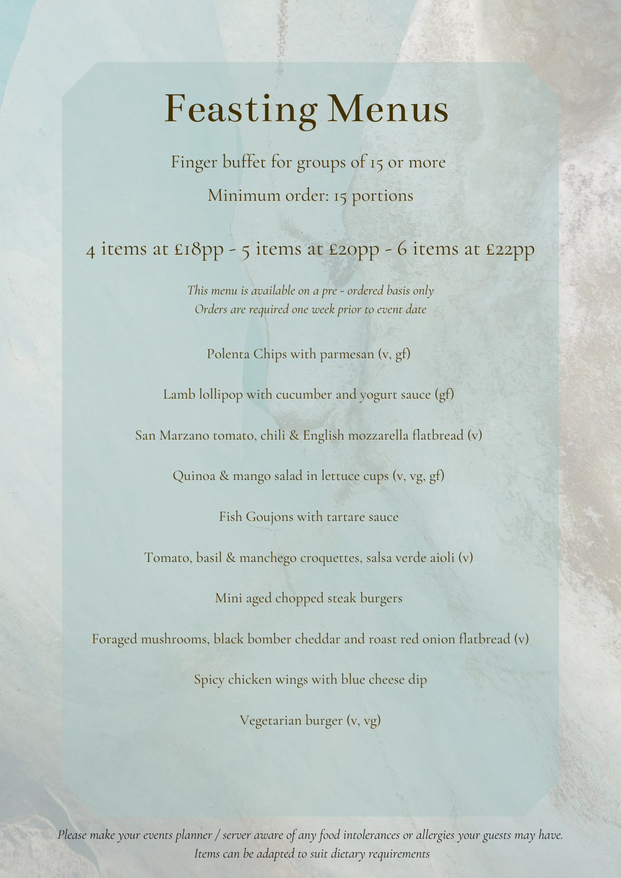## Feasting Menus

Finger buffet for groups of 15 or more Minimum order: 15 portions

#### 4 items at £18pp - 5 items at £20pp - 6 items at £22pp

*This menu is available on a pre - ordered basis only Orders are required one week prior to event date*

Polenta Chips with parmesan (v, gf) Lamb lollipop with cucumber and yogurt sauce (gf) San Marzano tomato, chili & English mozzarella flatbread (v) Quinoa & mango salad in lettuce cups (v, vg, gf)

Fish Goujons with tartare sauce

Tomato, basil & manchego croquettes, salsa verde aioli (v)

Mini aged chopped steak burgers

Foraged mushrooms, black bomber cheddar and roast red onion flatbread (v)

Spicy chicken wings with blue cheese dip

Vegetarian burger (v, vg)

Please make your events planner / server aware of any food intolerances or allergies your guests may have. *Items can be adapted to suit dietary requirements*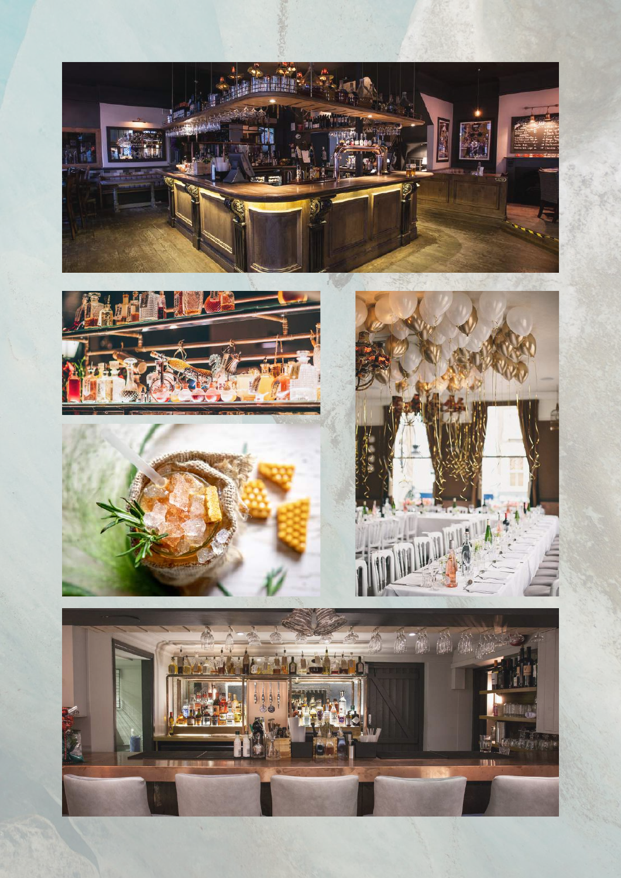







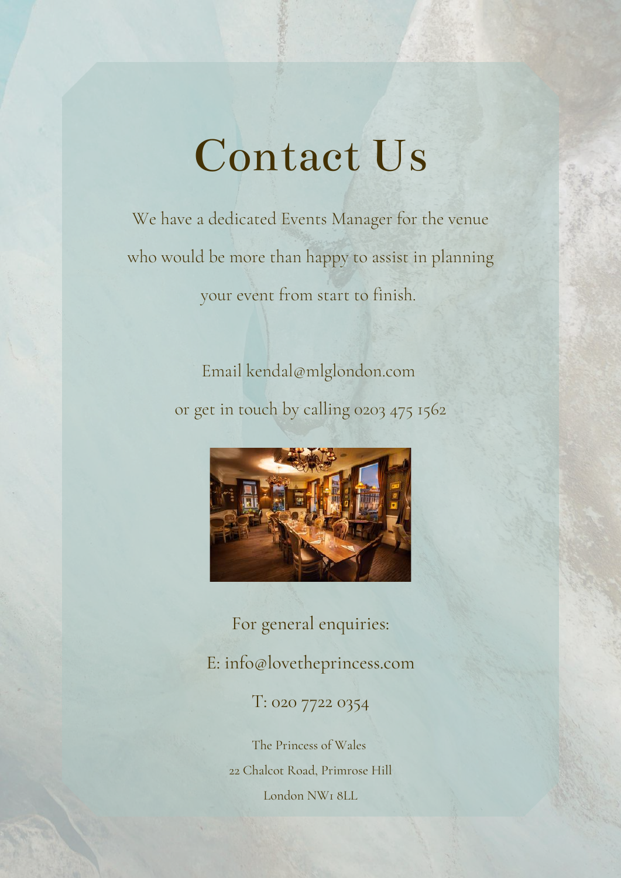## Contact Us

We have a dedicated Events Manager for the venue who would be more than happy to assist in planning your event from start to finish.

> Email kendal@mlglondon.com or get in touch by calling 0203 475 1562



For general enquiries: E: info@lovetheprincess.com T: 020 7722 [0354](https://www.google.com/search?q=princess+of+wales+nw1&rlz=1C1GCEA_enGB817GB817&oq=princess+of+wales+nw1&aqs=chrome..69i57j0i22i30l3.2725j0j7&sourceid=chrome&ie=UTF-8#)

> The Princess of Wales 22 Chalcot Road, Primrose Hill London NW1 8LL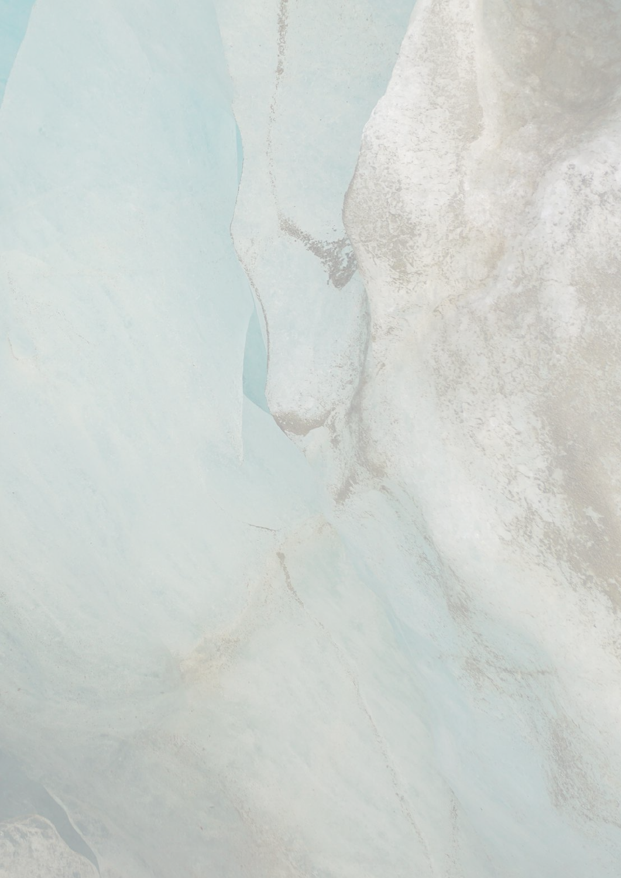